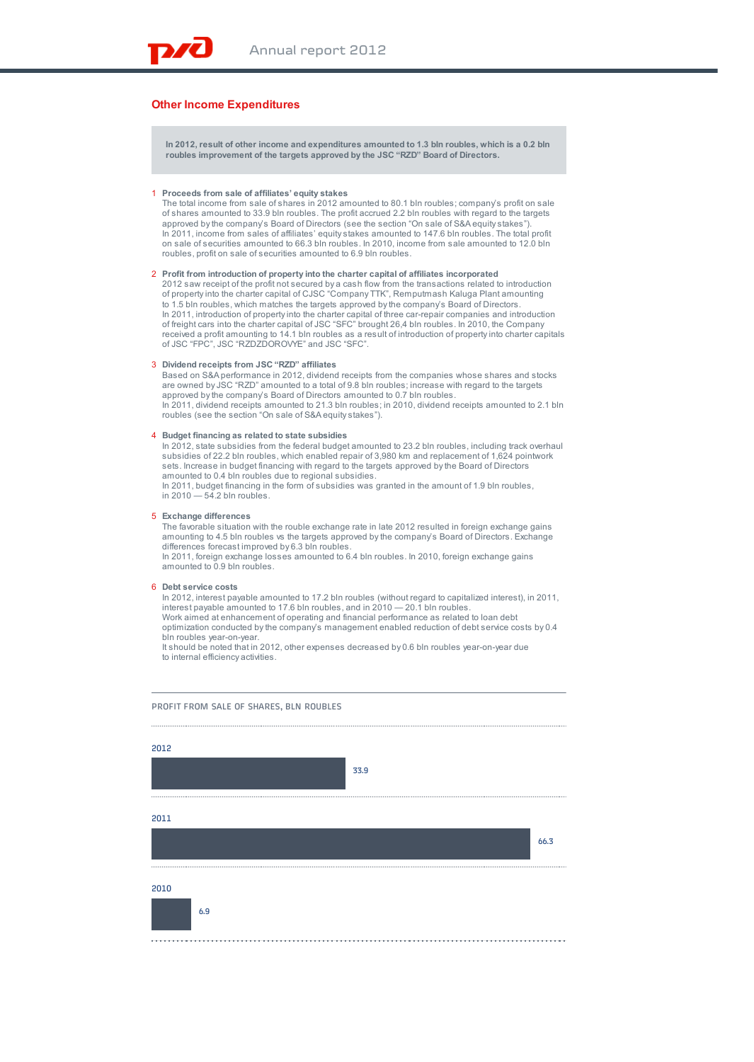# **Other Income Expenditures**

**In 2012, result of other income and expenditures amounted to 1.3 bln roubles, which is a 0.2 bln roubles improvement of the targets approved by the JSC "RZD" Board of Directors.**

#### 1 **Proceeds from sale of affiliates' equity stakes**

The total income from sale of shares in 2012 amounted to 80.1 bln roubles; company's profit on sale of shares amounted to 33.9 bln roubles. The profit accrued 2.2 bln roubles with regard to the targets approved by the company's Board of Directors (see the section "On sale of S&A equity stakes"). In 2011, income from sales of affiliates' equity stakes amounted to 147.6 bln roubles. The total profit on sale of securities amounted to 66.3 bln roubles. In 2010, income from sale amounted to 12.0 bln roubles, profit on sale of securities amounted to 6.9 bln roubles.

2 **Profit from introduction of property into the charter capital of affiliates incorporated** 2012 saw receipt of the profit not secured by a cash flow from the transactions related to introduction of property into the charter capital of CJSC "Company TTK", Remputmash Kaluga Plant amounting to 1.5 bln roubles, which matches the targets approved by the company's Board of Directors. In 2011, introduction of property into the charter capital of three car-repair companies and introduction of freight cars into the charter capital of JSC "SFC" brought 26,4 bln roubles. In 2010, the Company received a profit amounting to 14.1 bln roubles as a result of introduction of property into charter capitals of JSC "FPC", JSC "RZDZDOROVYE" and JSC "SFC".

### 3 **Dividend receipts from JSC "RZD" affiliates**

Based on S&A performance in 2012, dividend receipts from the companies whose shares and stocks are owned by JSC "RZD" amounted to a total of 9.8 bln roubles; increase with regard to the targets approved by the company's Board of Directors amounted to 0.7 bln roubles. In 2011, dividend receipts amounted to 21.3 bln roubles; in 2010, dividend receipts amounted to 2.1 bln roubles (see the section "On sale of S&A equity stakes").

# 4 **Budget financing as related to state subsidies**

In 2012, state subsidies from the federal budget amounted to 23.2 bln roubles, including track overhaul subsidies of 22.2 bln roubles, which enabled repair of 3,980 km and replacement of 1,624 pointwork sets. Increase in budget financing with regard to the targets approved by the Board of Directors amounted to 0.4 bln roubles due to regional subsidies. In 2011, budget financing in the form of subsidies was granted in the amount of 1.9 bln roubles,

in 2010 — 54.2 bln roubles.

## 5 **Exchange differences**

The favorable situation with the rouble exchange rate in late 2012 resulted in foreign exchange gains amounting to 4.5 bln roubles vs the targets approved by the company's Board of Directors. Exchange differences forecast improved by 6.3 bln roubles. In 2011, foreign exchange losses amounted to 6.4 bln roubles. In 2010, foreign exchange gains

amounted to 0.9 bln roubles.

# 6 **Debt service costs**

In 2012, interest payable amounted to 17.2 bln roubles (without regard to capitalized interest), in 2011, interest payable amounted to 17.6 bln roubles, and in 2010 — 20.1 bln roubles. Work aimed at enhancement of operating and financial performance as related to loan debt optimization conducted by the company's management enabled reduction of debt service costs by 0.4 bln roubles year-on-year.

It should be noted that in 2012, other expenses decreased by 0.6 bln roubles year-on-year due to internal efficiency activities.